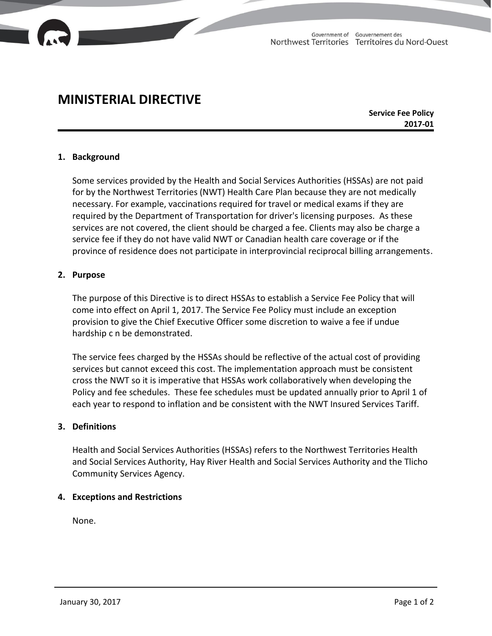

# **MINISTERIAL DIRECTIVE**

**Service Fee Policy 2017-01**

### **1. Background**

Some services provided by the Health and Social Services Authorities (HSSAs) are not paid for by the Northwest Territories (NWT) Health Care Plan because they are not medically necessary. For example, vaccinations required for travel or medical exams if they are required by the Department of Transportation for driver's licensing purposes. As these services are not covered, the client should be charged a fee. Clients may also be charge a service fee if they do not have valid NWT or Canadian health care coverage or if the province of residence does not participate in interprovincial reciprocal billing arrangements.

#### **2. Purpose**

The purpose of this Directive is to direct HSSAs to establish a Service Fee Policy that will come into effect on April 1, 2017. The Service Fee Policy must include an exception provision to give the Chief Executive Officer some discretion to waive a fee if undue hardship c n be demonstrated.

The service fees charged by the HSSAs should be reflective of the actual cost of providing services but cannot exceed this cost. The implementation approach must be consistent cross the NWT so it is imperative that HSSAs work collaboratively when developing the Policy and fee schedules. These fee schedules must be updated annually prior to April 1 of each year to respond to inflation and be consistent with the NWT Insured Services Tariff.

#### **3. Definitions**

Health and Social Services Authorities (HSSAs) refers to the Northwest Territories Health and Social Services Authority, Hay River Health and Social Services Authority and the Tlicho Community Services Agency.

## **4. Exceptions and Restrictions**

None.